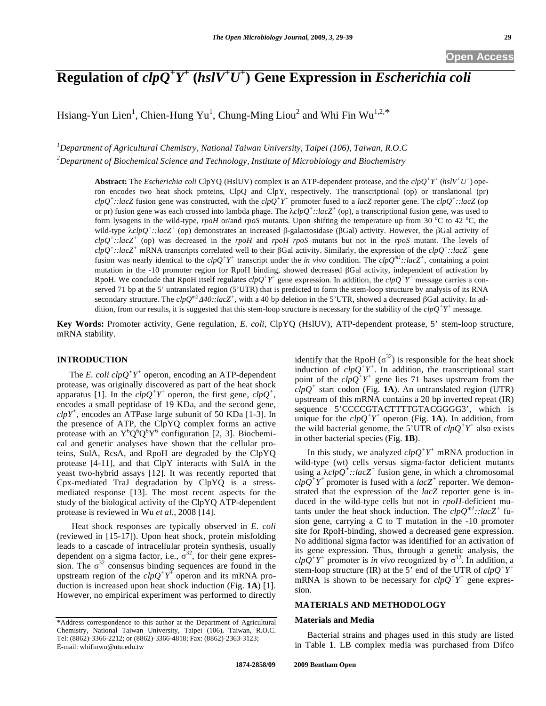# **Regulation of** *clpQ<sup>+</sup> Y+*  **(***hslV+ U+* **) Gene Expression in** *Escherichia coli*

Hsiang-Yun Lien<sup>1</sup>, Chien-Hung Yu<sup>1</sup>, Chung-Ming Liou<sup>2</sup> and Whi Fin Wu<sup>1,2,\*</sup>

*1 Department of Agricultural Chemistry, National Taiwan University, Taipei (106), Taiwan, R.O.C 2 Department of Biochemical Science and Technology, Institute of Microbiology and Biochemistry* 

> **Abstract:** The *Escherichia coli* ClpYQ (HslUV) complex is an ATP-dependent protease, and the *clpQ<sup>+</sup> Y<sup>+</sup>*(*hslV+U+*) operon encodes two heat shock proteins, ClpQ and ClpY, respectively. The transcriptional (op) or translational (pr)  $chQ^+$ :*:lacZ* fusion gene was constructed, with the  $chQ^+Y^+$  promoter fused to a *lacZ* reporter gene. The  $chQ^+$ :*:lacZ* (op or pr) fusion gene was each crossed into lambda phage. The  $\lambda clpQ^{\dagger}$ ::lacZ<sup>+</sup> (op), a transcriptional fusion gene, was used to form lysogens in the wild-type, *rpoH* or/and *rpoS* mutants. Upon shifting the temperature up from 30  $^{\circ}$ C to 42  $^{\circ}$ C, the wild-type  $\lambda c l p Q^+$ :*:lacZ<sup>+</sup>* (op) demonstrates an increased  $\beta$ -galactosidase ( $\beta$ Gal) activity. However, the  $\beta$ Gal activity of *clpQ+::lacZ+* (op) was decreased in the *rpoH* and *rpoH rpoS* mutants but not in the *rpoS* mutant. The levels of *clpQ+::lacZ+* mRNA transcripts correlated well to their Gal activity. Similarly, the expression of the *clpQ<sup>+</sup> ::lacZ<sup>+</sup>* gene fusion was nearly identical to the  $clpQ^+Y^+$  transcript under the *in vivo* condition. The  $clpQ^{ml}$ ::lacZ<sup>+</sup>, containing a point mutation in the  $-10$  promoter region for RpoH binding, showed decreased  $\beta$ Gal activity, independent of activation by RpoH. We conclude that RpoH itself regulates  $chQ^+Y^+$  gene expression. In addition, the  $chQ^+Y^+$  message carries a conserved 71 bp at the 5' untranslated region (5'UTR) that is predicted to form the stem-loop structure by analysis of its RNA secondary structure. The  $clpQ^{m2}A40$ ::lacZ<sup>+</sup>, with a 40 bp deletion in the 5'UTR, showed a decreased  $\beta$ Gal activity. In addition, from our results, it is suggested that this stem-loop structure is necessary for the stability of the *clpQ<sup>+</sup> Y<sup>+</sup>* message*.*

**Key Words:** Promoter activity, Gene regulation, *E. coli*, ClpYQ (HslUV), ATP-dependent protease, 5' stem-loop structure, mRNA stability.

#### **INTRODUCTION**

The *E. coli*  $clpQ^+Y^+$  operon, encoding an ATP-dependent protease, was originally discovered as part of the heat shock apparatus [1]. In the  $clpQ^+Y^+$  operon, the first gene,  $clpQ^+$ , encodes a small peptidase of 19 KDa, and the second gene,  $\text{clpY}^+$ , encodes an ATPase large subunit of 50 KDa [1-3]. In the presence of ATP, the ClpYQ complex forms an active protease with an  $Y^{6}Q^{6}Q^{6}Y^{6}$  configuration [2, 3]. Biochemical and genetic analyses have shown that the cellular proteins, SulA, RcsA, and RpoH are degraded by the ClpYQ protease [4-11], and that ClpY interacts with SulA in the yeast two-hybrid assays [12]. It was recently reported that Cpx-mediated TraJ degradation by ClpYQ is a stressmediated response [13]. The most recent aspects for the study of the biological activity of the ClpYQ ATP-dependent protease is reviewed in Wu *et al*., 2008 [14].

 Heat shock responses are typically observed in *E. coli* (reviewed in [15-17]). Upon heat shock, protein misfolding leads to a cascade of intracellular protein synthesis, usually dependent on a sigma factor, i.e.,  $\sigma^{32}$ , for their gene expression. The  $\sigma^{32}$  consensus binding sequences are found in the upstream region of the  $clpQ^+Y^+$  operon and its mRNA production is increased upon heat shock induction (Fig. **1A**) [1]. However, no empirical experiment was performed to directly identify that the RpoH  $(\sigma^{32})$  is responsible for the heat shock induction of  $clpQ^+Y^+$ . In addition, the transcriptional start point of the  $clp\overline{Q}^+Y^+$  gene lies 71 bases upstream from the  $clpQ^+$  start codon (Fig. **1A**). An untranslated region (UTR) upstream of this mRNA contains a 20 bp inverted repeat (IR) sequence 5'CCCCGTACTTTTGTACGGGG3', which is unique for the  $clpQ^+Y^+$  operon (Fig. **1A**). In addition, from the wild bacterial genome, the 5'UTR of  $clpQ^+Y^+$  also exists in other bacterial species (Fig. **1B**).

In this study, we analyzed  $clpQ^+Y^+$  mRNA production in wild-type (wt) cells versus sigma-factor deficient mutants using a  $\lambda c l p Q^+$ :*:lacZ<sup>+</sup>* fusion gene, in which a chromosomal  $\mathcal{L}l\rho\mathcal{Q}^{\dagger}Y^{\dagger}$  promoter is fused with a *lacZ*<sup>+</sup> reporter. We demonstrated that the expression of the *lacZ* reporter gene is induced in the wild-type cells but not in *rpoH*-deficient mutants under the heat shock induction. The  $clpO^{ml}$ ::lacZ<sup>+</sup> fusion gene, carrying a C to T mutation in the -10 promoter site for RpoH-binding, showed a decreased gene expression. No additional sigma factor was identified for an activation of its gene expression. Thus, through a genetic analysis, the  $\frac{c}{pQ}$ <sup>+</sup>*Y*<sup>+</sup> promoter is *in vivo* recognized by  $\sigma^{32}$ . In addition, a stem-loop structure (IR) at the 5<sup>'</sup> end of the UTR of  $clpQ^+Y^+$ mRNA is shown to be necessary for  $clpQ^+Y^+$  gene expression.

#### **MATERIALS AND METHODOLOGY**

#### **Materials and Media**

Bacterial strains and phages used in this study are listed in Table **1**. LB complex media was purchased from Difco

<sup>\*</sup>Address correspondence to this author at the Department of Agricultural Chemistry, National Taiwan University, Taipei (106), Taiwan, R.O.C. Tel: (8862)-3366-2212; or (8862)-3366-4818; Fax: (8862)-2363-3123; E-mail: whifinwu@ntu.edu.tw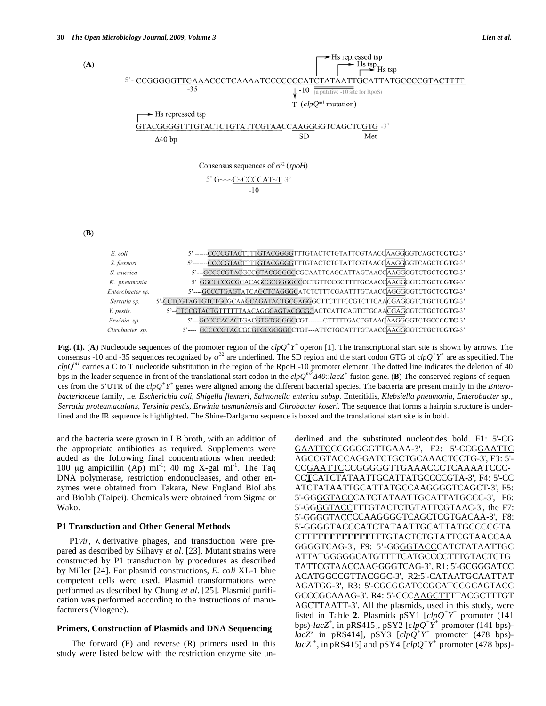Serratia sp.





5'-CTCCGTACTGTTTTTTAACAGGCAGTACGGGGACTCATTCAGTCTGCAACGAGGGTCTGCTCGTG-3' Y. pestis. Erwinia sp. 5'---GCCCCACACTGACGTGTGGGGCCGT-------CTTTTTGACTGTAACAAGGGGTCTGCCCGTG-3'

5'---- GCCCCGTACCGCGTGCGGGGCCTGT---ATTCTGCATTTGTAACCAAGGGGTCTGCTCGTG-3' Citrobacter sp.

5'-CCTCGTAGTGTCTGCGCAAGCAGATACTGCGAGGGCTTCTTTCCGTCTTCAACGAGGGTCTGCTCGTG-3'

Fig. (1). (A) Nucleotide sequences of the promoter region of the  $clpQ^+Y^+$  operon [1]. The transcriptional start site is shown by arrows. The consensus -10 and -35 sequences recognized by  $\sigma^{32}$  are underlined. The SD region and the start codon GTG of  $clpQ^+Y^+$  are as specified. The  $\text{clpQ}^{ml}$  carries a C to T nucleotide substitution in the region of the RpoH -10 promoter element. The dotted line indicates the deletion of 40 bps in the leader sequence in front of the translational start codon in the  $clpQ^{m2}A40$ :: $lacZ^+$  fusion gene. (**B**) The conserved regions of sequences from the 5'UTR of the *clpQ+Y+* genes were aligned among the different bacterial species. The bacteria are present mainly in the *Enterobacteriaceae* family, i.e. *Escherichia coli*, *Shigella flexneri*, *Salmonella enterica subsp.* Enteritidis, *Klebsiella pneumonia, Enterobacter sp., Serratia proteamaculans, Yersinia pestis, Erwinia tasmaniensis* and *Citrobacter koseri.* The sequence that forms a hairpin structure is underlined and the IR sequence is highlighted. The Shine-Darlgarno sequence is boxed and the translational start site is in bold.

and the bacteria were grown in LB broth, with an addition of the appropriate antibiotics as required. Supplements were added as the following final concentrations when needed: 100 μg ampicillin (Ap) ml<sup>-1</sup>; 40 mg X-gal ml<sup>-1</sup>. The Taq DNA polymerase, restriction endonucleases, and other enzymes were obtained from Takara, New England BioLabs and Biolab (Taipei). Chemicals were obtained from Sigma or Wako.

## **P1 Transduction and Other General Methods**

P1*vir*, λ derivative phages, and transduction were prepared as described by Silhavy *et al*. [23]. Mutant strains were constructed by P1 transduction by procedures as described by Miller [24]. For plasmid constructions, *E. coli* XL-1 blue competent cells were used. Plasmid transformations were performed as described by Chung *et al*. [25]. Plasmid purification was performed according to the instructions of manufacturers (Viogene).

## **Primers, Construction of Plasmids and DNA Sequencing**

The forward (F) and reverse (R) primers used in this study were listed below with the restriction enzyme site underlined and the substituted nucleotides bold. F1: 5'-CG GAATTCCCGGGGGTTGAAA-3', F2: 5'-CCGGAATTC AGCCGTACCAGGATCTGCTGCAAACTCCTG-3', F3: 5'- CCGAATTCCCGGGGGTTGAAACCCTCAAAATCCC-CC**T**CATCTATAATTGCATTATGCCCCGTA-3', F4: 5'-CC ATCTATAATTGCATTATGCCAAGGGGTCAGCT-3', F5: 5'-GGGGTACCCATCTATAATTGCATTATGCCC-3', F6: 5'-GGGGTACCTTTGTACTCTGTATTCGTAAC-3', the F7: 5'-GGGGTACCCCAAGGGGTCAGCTCGTGACAA-3', F8: 5'-GGGGTACCCATCTATAATTGCATTATGCCCCGTA CTTTT**TTTTTTTT**TTTGTACTCTGTATTCGTAACCAA GGGGTCAG-3', F9: 5'-GGGGTACCCATCTATAATTGC ATTATGGGGGCATGTTTTCATGCCCCTTTGTACTCTG TATTCGTAACCAAGGGGTCAG-3', R1: 5'-GCGGGATCC ACATGGCCGTTACGGC-3', R2:5'-CATAATGCAATTAT AGATGG-3', R3: 5'-CGCGGATCCGCATCCGCAGTACC GCCCGCAAAG-3'. R4: 5'-CCCAAGCTTTTACGCTTTGT AGCTTAATT-3'. All the plasmids, used in this study, were listed in Table 2. Plasmids pSY1  $[clpQ^+Y^+$  promoter (141) bps)- $lacZ^+$ , in pRS415], pSY2  $[clpQ^+Y^+$  promoter (141 bps)*lacZ*<sup>'</sup> in pRS414], pSY3  $[clpQ^+Y^+$  promoter (478 bps) $lacZ^+$ , in pRS415] and pSY4  $\left[\overline{clp}Q^+Y^+\right]$  promoter (478 bps)-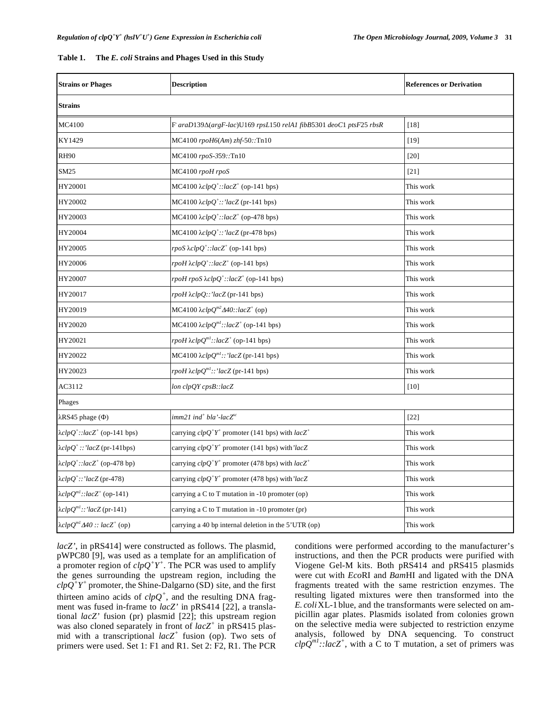| Table 1. | The E. coli Strains and Phages Used in this Study |  |
|----------|---------------------------------------------------|--|
|----------|---------------------------------------------------|--|

| <b>Strains or Phages</b>                                    | <b>Description</b>                                                         | <b>References or Derivation</b> |  |  |  |
|-------------------------------------------------------------|----------------------------------------------------------------------------|---------------------------------|--|--|--|
| <b>Strains</b>                                              |                                                                            |                                 |  |  |  |
| MC4100                                                      | F araD139 $\Delta$ (argF-lac)U169 rpsL150 relA1 fibB5301 deoC1 ptsF25 rbsR | [18]                            |  |  |  |
| KY1429                                                      | $MC4100$ $rpoH6(Am)$ $zhf-50$ ::Tn10                                       | $[19]$                          |  |  |  |
| <b>RH90</b>                                                 | MC4100 rpoS-359::Tn10                                                      | $[20]$                          |  |  |  |
| SM25                                                        | MC4100 rpoH rpoS                                                           | $[21]$                          |  |  |  |
| HY20001                                                     | MC4100 $\lambda clpQ^{\dagger}$ ::lacZ <sup>+</sup> (op-141 bps)           | This work                       |  |  |  |
| HY20002                                                     | MC4100 $\lambda clpQ^{\dagger}$ ::'lacZ (pr-141 bps)                       | This work                       |  |  |  |
| HY20003                                                     | MC4100 $\lambda clpQ^{\dagger}$ ::lacZ <sup>+</sup> (op-478 bps)           | This work                       |  |  |  |
| HY20004                                                     | MC4100 $\lambda clpQ^{\dagger}$ ::'lacZ (pr-478 bps)                       | This work                       |  |  |  |
| HY20005                                                     | rpoS $\lambda c l p Q^+$ ::lacZ <sup>+</sup> (op-141 bps)                  | This work                       |  |  |  |
| HY20006                                                     | rpoH $\lambda c l p Q^{\dagger}$ ::lacZ <sup>+</sup> (op-141 bps)          | This work                       |  |  |  |
| HY20007                                                     | rpoH rpoS $\lambda c l p Q^{\dagger}$ ::lacZ <sup>+</sup> (op-141 bps)     | This work                       |  |  |  |
| HY20017                                                     | rpoH $\lambda$ clpQ::'lacZ(pr-141 bps)                                     | This work                       |  |  |  |
| HY20019                                                     | MC4100 $\lambda c l p Q^{m2} \Delta 40$ ::lacZ <sup>+</sup> (op)           | This work                       |  |  |  |
| HY20020                                                     | MC4100 $\lambda clpQ^{ml}$ ::lacZ <sup>+</sup> (op-141 bps)                | This work                       |  |  |  |
| HY20021                                                     | rpoH $\lambda c l p Q^{ml}$ ::lacZ <sup>+</sup> (op-141 bps)               | This work                       |  |  |  |
| HY20022                                                     | MC4100 $\lambda clpQ^{ml}$ ::'lacZ (pr-141 bps)                            | This work                       |  |  |  |
| HY20023                                                     | rpoH $\lambda clpQ^{ml}$ ::'lacZ(pr-141 bps)                               | This work                       |  |  |  |
| AC3112                                                      | $lon$ $clpQY$ $cpsB::lacZ$                                                 | $[10]$                          |  |  |  |
| Phages                                                      |                                                                            |                                 |  |  |  |
| $\lambda$ RS45 phage ( $\Phi$ )                             | imm21 ind <sup>+</sup> bla'-lac $Z^{c}$                                    | $[22]$                          |  |  |  |
| $\lambda c l p Q^{\dagger}$ : $lacZ^{\dagger}$ (op-141 bps) | carrying $clpQ^+Y^+$ promoter (141 bps) with $lacZ^+$                      | This work                       |  |  |  |
| $\lambda c l p Q^{\dagger}$ ::' $l acZ$ (pr-141bps)         | carrying $clpQ^+Y^+$ promoter (141 bps) with 'lacZ                         | This work                       |  |  |  |
| $\lambda c l p Q^{\dagger}$ ::lacZ <sup>+</sup> (op-478 bp) | carrying $clpQ^+Y^+$ promoter (478 bps) with $lacZ^+$                      | This work                       |  |  |  |
| $\lambda clpQ^{\dagger}$ ::'lacZ (pr-478)                   | carrying $clpQ^+Y^+$ promoter (478 bps) with 'lacZ                         | This work                       |  |  |  |
| $\lambda clpQ^{ml}$ ::lacZ <sup>+</sup> (op-141)            | carrying a $C$ to $T$ mutation in -10 promoter (op)                        | This work                       |  |  |  |
| $\lambda clpQ^{ml}::'lacZ$ (pr-141)                         | carrying a C to T mutation in $-10$ promoter (pr)                          | This work                       |  |  |  |
| $\lambda c l p Q^{ml} \Delta 40 :: lacZ^{+}$ (op)           | carrying a 40 bp internal deletion in the 5'UTR (op)                       | This work                       |  |  |  |

*lacZ'*, in pRS414] were constructed as follows. The plasmid, pWPC80 [9], was used as a template for an amplification of a promoter region of  $\text{clp}Q^+Y^+$ . The PCR was used to amplify the genes surrounding the upstream region, including the  $\frac{c}{pQ^+Y^+}$  promoter, the Shine-Dalgarno (SD) site, and the first thirteen amino acids of  $clpQ^+$ , and the resulting DNA fragment was fused in-frame to *lacZ'* in pRS414 [22], a translational *lacZ'* fusion (pr) plasmid [22]; this upstream region was also cloned separately in front of *lacZ<sup>+</sup>* in pRS415 plasmid with a transcriptional  $lacZ^+$  fusion (op). Two sets of primers were used. Set 1: F1 and R1. Set 2: F2, R1. The PCR

conditions were performed according to the manufacturer's instructions, and then the PCR products were purified with Viogene Gel-M kits. Both pRS414 and pRS415 plasmids were cut with *Eco*RI and *Bam*HI and ligated with the DNA fragments treated with the same restriction enzymes. The resulting ligated mixtures were then transformed into the *E. coli*XL-1 blue, and the transformants were selected on ampicillin agar plates. Plasmids isolated from colonies grown on the selective media were subjected to restriction enzyme analysis, followed by DNA sequencing. To construct  $\frac{clpQ^{ml}::lacZ^{+}}{l}$ , with a C to T mutation, a set of primers was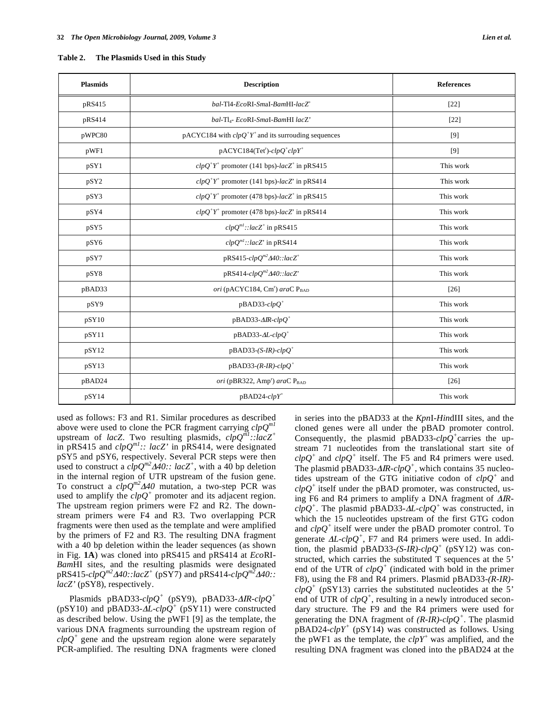| <b>Plasmids</b>  | <b>Description</b>                                         | <b>References</b> |
|------------------|------------------------------------------------------------|-------------------|
| pRS415           | bal-T14-EcoRI-SmaI-BamHI-lacZ <sup>+</sup>                 | $[22]$            |
| pRS414           | bal-Tl <sub>4</sub> - EcoRI-SmaI-BamHI lacZ'               | $[22]$            |
| pWPC80           | $p$ ACYC184 with $clpQ^+Y^+$ and its surrouding sequences  | [9]               |
| pWF1             | $p$ ACYC184(Tet <sup>r</sup> )- $clpQ^+clpY^+$             | [9]               |
| pSY1             | $clpQ^+Y^+$ promoter (141 bps)-lacZ <sup>+</sup> in pRS415 | This work         |
| pSY <sub>2</sub> | $clpQ^+Y^+$ promoter (141 bps)-lacZ' in pRS414             | This work         |
| pSY3             | $clpQ^+Y^+$ promoter (478 bps)-lacZ <sup>+</sup> in pRS415 | This work         |
| pSY4             | $clpQ^+Y^+$ promoter (478 bps)-lacZ' in pRS414             | This work         |
| pSY5             | $clpQm1$ ::lacZ <sup>+</sup> in pRS415                     | This work         |
| pSY6             | $clpQm1$ ::lacZ' in pRS414                                 | This work         |
| pSY7             | pRS415- $clpQ^{m2}$ $\Delta 40$ ::lacZ <sup>+</sup>        | This work         |
| pSY8             | $pRS414-clpQm2Δ40::lacZ$                                   | This work         |
| pBAD33           | ori (pACYC184, Cm <sup>r</sup> ) araC P <sub>BAD</sub>     | $[26]$            |
| pSY9             | $pBAD33$ - $clpQ^+$                                        | This work         |
| pSY10            | $pBAD33-AlR-clpQ^+$                                        | This work         |
| pSY11            | $pBAD33-AL-clpQ^+$                                         | This work         |
| pSY12            | $pBAD33-(S-IR)-clpQ^+$                                     | This work         |
| pSY13            | $pBAD33-(R-IR)-clpQ^+$                                     | This work         |
| pBAD24           | ori (pBR322, Amp <sup>r</sup> ) araC P <sub>BAD</sub>      | $[26]$            |
| pSY14            | $pBAD24$ - $clpY^+$                                        | This work         |

used as follows: F3 and R1. Similar procedures as described above were used to clone the PCR fragment carrying *clpQm1* upstream of *lacZ*. Two resulting plasmids, *clpQm1::lacZ+* in pRS415 and *clpQm1:: lacZ'* in pRS414, were designated pSY5 and pSY6, respectively. Several PCR steps were then used to construct a  $clpQ^{m2}A40$ :  $lacZ^{+}$ , with a 40 bp deletion in the internal region of UTR upstream of the fusion gene. To construct a *clpQm240* mutation, a two-step PCR was used to amplify the  $clpQ^+$  promoter and its adjacent region. The upstream region primers were F2 and R2. The downstream primers were F4 and R3. Two overlapping PCR fragments were then used as the template and were amplified by the primers of F2 and R3. The resulting DNA fragment with a 40 bp deletion within the leader sequences (as shown in Fig. **1A**) was cloned into pRS415 and pRS414 at *Eco*RI-*Bam*HI sites, and the resulting plasmids were designated  $pRS415$ - $clpQ^{m2}$  $\Delta 40$ :: $lacZ^{+}$  ( $pSY7$ ) and  $pRS414$ - $clpQ^{m2}$  $\Delta 40$ :: *lacZ'* (pSY8), respectively.

Plasmids pBAD33- $clpQ^+$  (pSY9), pBAD33- $\Delta$ *IR-clp* $Q^+$ (pSY10) and pBAD33- $\Delta L$ -clpQ<sup>+</sup> (pSY11) were constructed as described below. Using the pWF1 [9] as the template, the various DNA fragments surrounding the upstream region of  $\text{clpQ}^+$  gene and the upstream region alone were separately PCR-amplified. The resulting DNA fragments were cloned

in series into the pBAD33 at the *Kpn*I-*Hin*dIII sites, and the cloned genes were all under the pBAD promoter control. Consequently, the plasmid pBAD33-*clpQ<sup>+</sup>*carries the upstream 71 nucleotides from the translational start site of  $\frac{clpQ^+}{clpQ^+}$  and  $\frac{clpQ^+}{clpQ^+}$  itself. The F5 and R4 primers were used. The plasmid pBAD33- $\triangle$ *R-clpQ<sup>+</sup>*, which contains 35 nucleotides upstream of the GTG initiative codon of *clpQ<sup>+</sup>* and  $\text{clpQ}^+$  itself under the pBAD promoter, was constructed, using F6 and R4 primers to amplify a DNA fragment of  $\triangle$ *IR* $clpQ^+$ . The plasmid pBAD33- $\Delta L$ - $clpQ^+$  was constructed, in which the 15 nucleotides upstream of the first GTG codon and *clpQ<sup>+</sup>* itself were under the pBAD promoter control. To generate  $\Delta L$ -*clpQ*<sup>+</sup>, F7 and R4 primers were used. In addition, the plasmid pBAD33- $(S-I\overline{R})$ -*clpQ*<sup>+</sup> (pSY12) was constructed, which carries the substituted T sequences at the 5' end of the UTR of  $clpQ^+$  (indicated with bold in the primer F8), using the F8 and R4 primers. Plasmid pBAD33-*(R-IR)*-  $\text{clpQ}^+$  (pSY13) carries the substituted nucleotides at the 5' end of UTR of  $\text{clpQ}^+$ , resulting in a newly introduced secondary structure. The F9 and the R4 primers were used for generating the DNA fragment of  $(R\text{-}IR)\text{-}clpQ^+$ . The plasmid  $\overrightarrow{p}$ BAD24-*clpY<sup>+</sup>* ( $\overrightarrow{p}$ SY14) was constructed as follows. Using the pWF1 as the template, the *clpY<sup>+</sup>* was amplified, and the resulting DNA fragment was cloned into the pBAD24 at the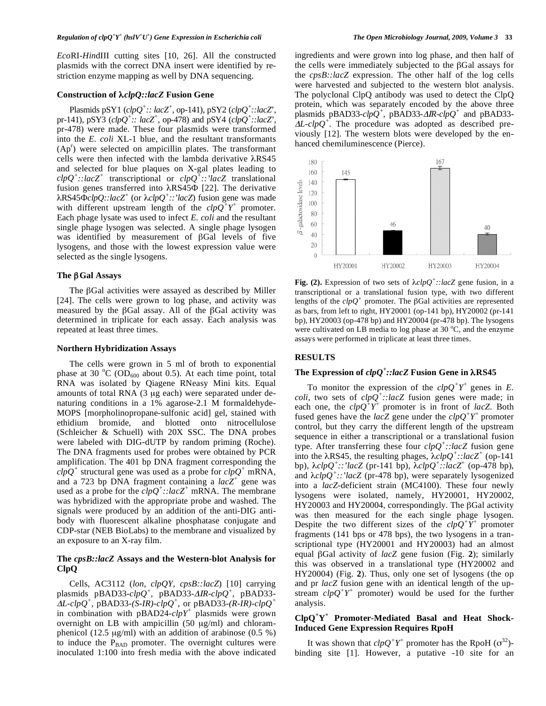*Eco*RI-*Hin*dIII cutting sites [10, 26]. All the constructed plasmids with the correct DNA insert were identified by restriction enzyme mapping as well by DNA sequencing.

## **Construction of** *clpQ::lacZ* **Fusion Gene**

Plasmids  $pSY1$  ( $clpQ^{\dagger}$ :*: lacZ*<sup>+</sup>, op-141),  $pSY2$  ( $clpQ^{\dagger}$ :*:lacZ*<sup>\*</sup>, pr-141), pSY3  $\left(\text{clpQ}^{\dagger}\right)$ *:: lacZ*<sup>+</sup>, op-478) and pSY4  $\left(\text{clpQ}^{\dagger}\right)$ *:: lacZ*<sup>\*</sup>, pr-478) were made. These four plasmids were transformed into the *E. coli* XL-1 blue, and the resultant transformants  $(Ap<sup>r</sup>)$  were selected on ampicillin plates. The transformant cells were then infected with the lambda derivative  $\lambda$ RS45 and selected for blue plaques on X-gal plates leading to *clpQ<sup>+</sup> ::lacZ<sup>+</sup>* transcriptional or *clpQ<sup>+</sup> ::'lacZ* translational fusion genes transferred into  $\lambda$ RS45 $\Phi$  [22]. The derivative  $\lambda$ RS45 $\overline{\Phi}$ *clpQ::lacZ<sup>+</sup>* (or  $\lambda$ *clpQ<sup>+</sup>::'lacZ*) fusion gene was made with different upstream length of the  $clpQ^+Y^+$  promoter. Each phage lysate was used to infect *E. coli* and the resultant single phage lysogen was selected. A single phage lysogen was identified by measurement of  $\beta$ Gal levels of five lysogens, and those with the lowest expression value were selected as the single lysogens.

## The  $\beta$  Gal Assays

The  $\beta$ Gal activities were assayed as described by Miller [24]. The cells were grown to log phase, and activity was measured by the  $\beta$ Gal assay. All of the  $\beta$ Gal activity was determined in triplicate for each assay. Each analysis was repeated at least three times.

#### **Northern Hybridization Assays**

The cells were grown in 5 ml of broth to exponential phase at 30 °C (OD<sub>600</sub> about 0.5). At each time point, total RNA was isolated by Qiagene RNeasy Mini kits. Equal amounts of total RNA (3 μg each) were separated under denaturing conditions in a 1% agarose-2.1 M formaldehyde-MOPS [morpholinopropane-sulfonic acid] gel, stained with ethidium bromide, and blotted onto nitrocellulose (Schleicher & Schuell) with 20X SSC. The DNA probes were labeled with DIG-dUTP by random priming (Roche). The DNA fragments used for probes were obtained by PCR amplification. The 401 bp DNA fragment corresponding the  $\overline{chqQ}^+$  structural gene was used as a probe for  $\overline{chqQ}^+$  mRNA, and a 723 bp DNA fragment containing a *lacZ<sup>+</sup>* gene was used as a probe for the  $clpQ^+$ ::lacZ<sup>+</sup> mRNA. The membrane was hybridized with the appropriate probe and washed. The signals were produced by an addition of the anti-DIG antibody with fluorescent alkaline phosphatase conjugate and CDP-star (NEB BioLabs) to the membrane and visualized by an exposure to an X-ray film.

## **The** *cpsB::lacZ* **Assays and the Western-blot Analysis for ClpQ**

Cells, AC3112 (*lon*, *clpQY*, *cpsB::lacZ*) [10] carrying plasmids pBAD33- $clpQ^+$ , pBAD33- $\triangle$ *R-* $clpQ^+$ , pBAD33- $\Delta L$ -*clpQ*<sup>+</sup>, pBAD33-*(S-IR)-clpQ*<sup>+</sup>, or pBAD33-*(R-IR)-clpQ*<sup>+</sup> in combination with pBAD24-*clpY<sup>+</sup>* plasmids were grown overnight on LB with ampicillin (50 μg/ml) and chloramphenicol (12.5  $\mu$ g/ml) with an addition of arabinose (0.5 %) to induce the  $P<sub>BAD</sub>$  promoter. The overnight cultures were inoculated 1:100 into fresh media with the above indicated

ingredients and were grown into log phase, and then half of the cells were immediately subjected to the  $\beta$ Gal assays for the *cpsB::lacZ* expression. The other half of the log cells were harvested and subjected to the western blot analysis. The polyclonal ClpQ antibody was used to detect the ClpQ protein, which was separately encoded by the above three plasmids pBAD33- $clp\hat{Q}^+$ , pBAD33- $\Delta IR$ - $clp\hat{Q}^+$  and pBAD33- $\Delta L$ -*clpQ*<sup>+</sup>. The procedure was adopted as described previously [12]. The western blots were developed by the enhanced chemiluminescence (Pierce).



**Fig. (2).** Expression of two sets of  $\lambda c/pQ^+$ ::lacZ gene fusion, in a transcriptional or a translational fusion type, with two different lengths of the  $clpQ^+$  promoter. The  $\beta$ Gal activities are represented as bars, from left to right, HY20001 (op-141 bp), HY20002 (pr-141 bp), HY20003 (op-478 bp) and HY20004 (pr-478 bp). The lysogens were cultivated on LB media to log phase at 30  $^{\circ}$ C, and the enzyme assays were performed in triplicate at least three times.

## **RESULTS**

# **The Expression of** *clpQ<sup>+</sup> ::lacZ* **Fusion Gene in RS45**

To monitor the expression of the  $clpQ^+Y^+$  genes in *E*. *coli*, two sets of  $clpQ^+$ ::lacZ fusion genes were made; in each one, the  $clpQ^+Y^+$  promoter is in front of *lacZ*. Both fused genes have the *lacZ* gene under the  $\text{clp}Q^+Y^+$  promoter control, but they carry the different length of the upstream sequence in either a transcriptional or a translational fusion type. After transferring these four *clpQ<sup>+</sup> ::lacZ* fusion gene into the  $\lambda$ RS45, the resulting phages,  $\lambda$ *clp*Q<sup>+</sup>::lacZ<sup>+</sup> (op-141) bp), *clpQ<sup>+</sup> ::'lacZ* (pr-141 bp), *clpQ<sup>+</sup> ::lacZ*<sup>+</sup> (op-478 bp), and  $\lambda$ *clpQ*<sup>+</sup>::'lacZ (pr-478 bp), were separately lysogenized into a *lacZ*-deficient strain (MC4100). These four newly lysogens were isolated, namely, HY20001, HY20002, HY20003 and HY20004, correspondingly. The  $\beta$ Gal activity was then measured for the each single phage lysogen. Despite the two different sizes of the  $\text{clp}Q^+Y^+$  promoter fragments (141 bps or 478 bps), the two lysogens in a transcriptional type (HY20001 and HY20003) had an almost equal  $\beta$ Gal activity of *lacZ* gene fusion (Fig. 2); similarly this was observed in a translational type (HY20002 and HY20004) (Fig. **2**). Thus, only one set of lysogens (the op and pr *lacZ* fusion gene with an identical length of the upstream  $\frac{c l p Q^+ Y^+}{ }$  promoter) would be used for the further analysis.

## **ClpQ<sup>+</sup> Y+ Promoter-Mediated Basal and Heat Shock-Induced Gene Expression Requires RpoH**

It was shown that  $clpQ^+Y^+$  promoter has the RpoH  $(\sigma^{32})$ binding site [1]. However, a putative -10 site for an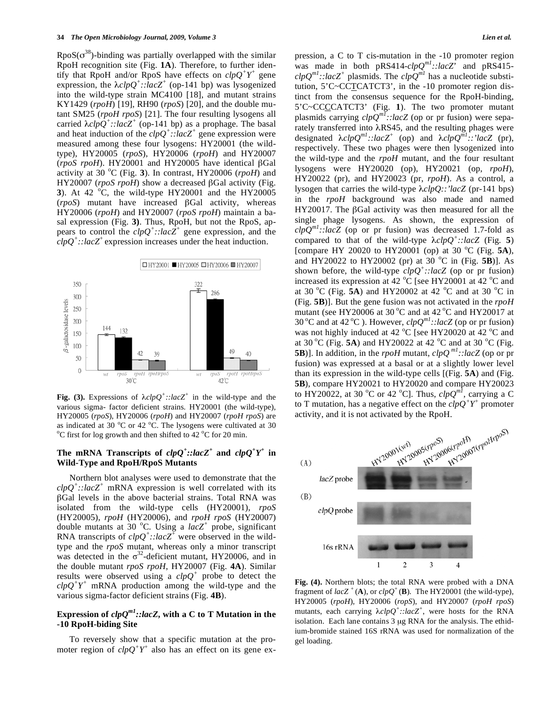$RpoS(\sigma^{38})$ -binding was partially overlapped with the similar RpoH recognition site (Fig. **1A**). Therefore, to further identify that RpoH and/or RpoS have effects on  $\text{clp}Q^+Y^+$  gene expression, the  $\lambda c l p Q^+$ ::lacZ<sup>+</sup> (op-141 bp) was lysogenized into the wild-type strain MC4100 [18], and mutant strains KY1429 (*rpoH*) [19], RH90 (*rpoS*) [20], and the double mutant SM25 (*rpoH rpoS*) [21]. The four resulting lysogens all carried  $\lambda c l p Q^+$ ::lacZ<sup>+</sup> (op-141 bp) as a prophage. The basal and heat induction of the  $clpQ^+$ ::lacZ<sup>+</sup> gene expression were measured among these four lysogens: HY20001 (the wildtype), HY20005 (*rpoS*), HY20006 (*rpoH*) and HY20007 (*rpoS rpoH*). HY20001 and HY20005 have identical Gal activity at 30 °C (Fig. 3). In contrast, HY20006 (*rpoH*) and HY20007 (*rpoS rpoH*) show a decreased βGal activity (Fig. **3**). At 42  $\,^{\circ}$ C, the wild-type HY20001 and the HY20005 (*rpoS*) mutant have increased Gal activity, whereas HY20006 (*rpoH*) and HY20007 (*rpoS rpoH*) maintain a basal expression (Fig. **3)**. Thus, RpoH, but not the RpoS, appears to control the  $clpQ^+$ ::lac $Z^+$  gene expression, and the  $\frac{c}{\mu}$ :*lacZ*<sup>+</sup> expression increases under the heat induction.



**Fig. (3).** Expressions of  $\lambda chqQ^+$ ::lacZ<sup>+</sup> in the wild-type and the various sigma- factor deficient strains. HY20001 (the wild-type), HY20005 (*rpoS*), HY20006 (*rpoH*) and HY20007 (*rpoH rpoS*) are as indicated at 30  $^{\circ}$ C or 42  $^{\circ}$ C. The lysogens were cultivated at 30  $^{\circ}$ C for the log growth and then shifted to 42  $^{\circ}$ C for 20 min C first for log growth and then shifted to  $42^{\circ}$ C for 20 min.

## The mRNA Transcripts of  $clpQ^+$ ::lacZ<sup>+</sup> and  $clpQ^+Y^+$  in **Wild-Type and RpoH/RpoS Mutants**

Northern blot analyses were used to demonstrate that the  $clpQ^+$ ::lacZ<sup>+</sup> mRNA expression is well correlated with its  $\beta$ Gal levels in the above bacterial strains. Total RNA was isolated from the wild-type cells (HY20001), *rpoS* (HY20005), *rpoH* (HY20006), and *rpoH rpoS* (HY20007) double mutants at 30 °C. Using a  $lacZ^+$  probe, significant RNA transcripts of  $clpQ^+$ ::lac $Z^+$  were observed in the wildtype and the *rpoS* mutant, whereas only a minor transcript was detected in the  $\sigma^{32}$ -deficient mutant, HY20006, and in the double mutant *rpoS rpoH*, HY20007 (Fig. **4A**). Similar results were observed using a  $clpQ^+$  probe to detect the  $\overline{ch}$   $Q^+Y^+$  mRNA production among the wild-type and the various sigma-factor deficient strains (Fig. **4B**).

## **Expression of**  $clpQ<sup>m1</sup>$ ::lacZ, with a C to T Mutation in the **-10 RpoH-biding Site**

To reversely show that a specific mutation at the promoter region of  $clpQ^+Y^+$  also has an effect on its gene expression, a C to T cis-mutation in the -10 promoter region was made in both pRS414- $clpQ<sup>m1</sup>$ ::lacZ<sup>'</sup> and pRS415- $\textit{clpQ}^{ml}$ ::lacZ<sup>+</sup> plasmids. The  $\textit{clpQ}^{ml}$  has a nucleotide substitution, 5'C~CCTCATCT3', in the -10 promoter region distinct from the consensus sequence for the RpoH-binding, 5'C~CCCCATCT3' (Fig. **1**). The two promoter mutant plasmids carrying *clpQm1::lacZ* (op or pr fusion) were separately transferred into  $\lambda$ RS45, and the resulting phages were designated  $\lambda chqQ^{ml}$ ::lacZ<sup>+</sup> (op) and  $\lambda chqQ^{ml}$ ::'lacZ (pr), respectively*.* These two phages were then lysogenized into the wild-type and the *rpoH* mutant, and the four resultant lysogens were HY20020 (op), HY20021 (op, *rpoH*), HY20022 (pr), and HY20023 (pr, *rpoH*). As a control, a lysogen that carries the wild-type  $\lambda clpQ::'lacZ$  (pr-141 bps) in the *rpoH* background was also made and named HY20017. The  $\beta$ Gal activity was then measured for all the single phage lysogens*.* As shown, the expression of  $clpQ<sup>m1</sup>$ :*:lacZ* (op or pr fusion) was decreased 1.7-fold as compared to that of the wild-type  $\lambda chpQ^+$ ::lacZ (Fig. 5) [compare HY 20020 to HY20001 (op) at 30 °C (Fig. 5A), and HY20022 to HY20002 (pr) at  $30^{\circ}$ C in (Fig. **5B**)]. As shown before, the wild-type  $clpQ^+$ ::lacZ (op or pr fusion) increased its expression at 42  $^{\circ}$ C [see HY20001 at 42  $^{\circ}$ C and at 30 °C (Fig.  $\overline{5A}$ ) and HY20002 at 42 °C and at 30 °C in (Fig. **5B**)]. But the gene fusion was not activated in the *rpoH* mutant (see HY20006 at  $30^{\circ}$ C and at  $42^{\circ}$ C and HY20017 at 30 °C and at 42 °C ). However,  $clpQ<sup>m1</sup>$ ::lacZ (op or pr fusion) was not highly induced at 42  $^{\circ}$ C [see HY20020 at 42  $^{\circ}$ C and at 30 °C (Fig.  $5A$ ) and HY20022 at 42 °C and at 30 °C (Fig. **5B**)]. In addition, in the *rpoH* mutant,  $clpQ^{ml}$ ::lacZ (op or pr fusion) was expressed at a basal or at a slightly lower level than its expression in the wild-type cells [(Fig. **5A**) and (Fig. **5B**), compare HY20021 to HY20020 and compare HY20023 to HY20022, at 30 °C or 42 °C]. Thus,  $clpQ^{ml}$ , carrying a C to T mutation, has a negative effect on the  $\frac{clpQ}{r}Y^+$  promoter



**Fig. (4).** Northern blots; the total RNA were probed with a DNA fragment of  $lacZ^+$  (**A**), or  $clpQ^+$  (**B**). The HY20001 (the wild-type), HY20005 (*rpoH*), HY20006 (*ropS*), and HY20007 (*rpoH rpoS*) mutants, each carrying  $\lambda c l p Q^+$ ::lacZ<sup>+</sup>, were hosts for the RNA isolation. Each lane contains 3 μg RNA for the analysis. The ethidium-bromide stained 16S rRNA was used for normalization of the gel loading.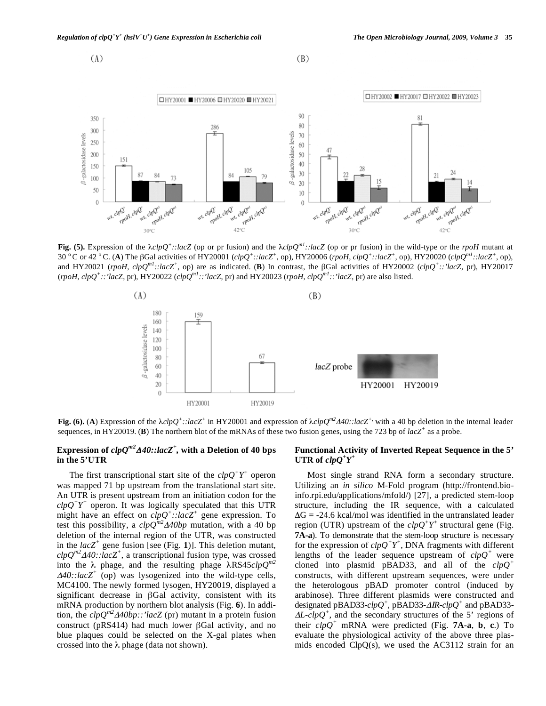

**Fig. (5).** Expression of the  $\lambda chpQ^+$ ::lacZ (op or pr fusion) and the  $\lambda chpQ^{ml}$ ::lacZ (op or pr fusion) in the wild-type or the *rpoH* mutant at 30 °C or 42 °C. (A) The  $\beta$ Gal activities of HY20001 (clpQ<sup>+</sup>::lacZ<sup>+</sup>, op), HY20006 (rpoH, clpQ<sup>+</sup>::lacZ<sup>+</sup>, op), HY20020 (clpQ<sup>m1</sup>::lacZ<sup>+</sup>, op), and HY20021 (*rpoH*, *clpQ<sup>m1</sup>*::*lacZ<sup>+</sup>*, op) are as indicated. (**B**) In contrast, the  $\beta$ Gal activities of HY20002 (*clpQ<sup>+</sup>::'lacZ*, pr), HY20017 (*rpoH*, *clpQ*<sup>+</sup>::'lacZ, pr), HY20022 (*clpQ<sup>m1</sup>::'lacZ*, pr) and HY20023 (*rpoH*, *clpQ<sup>m1</sup>::'lacZ*, pr) are also listed.



**Fig. (6).** (A) Expression of the  $\lambda chpQ^+$ ::lacZ<sup>+</sup> in HY20001 and expression of  $\lambda chpQ^{m2}A40$ ::lacZ<sup>+</sup>, with a 40 bp deletion in the internal leader sequences, in HY20019. (**B**) The northern blot of the mRNAs of these two fusion genes, using the 723 bp of  $lacZ^+$  as a probe.

## Expression of  $clpQ^{m2}A40$ ::lacZ<sup>+</sup>, with a Deletion of 40 bps **in the 5'UTR**

The first transcriptional start site of the  $clpQ^+Y^+$  operon was mapped 71 bp upstream from the translational start site. An UTR is present upstream from an initiation codon for the  $\frac{c}{p}Q^+Y^+$  operon. It was logically speculated that this UTR might have an effect on *clpQ<sup>+</sup> ::lacZ<sup>+</sup>* gene expression. To test this possibility, a  $clpQ^{m2}$   $\Delta 40bp$  mutation, with a 40 bp deletion of the internal region of the UTR, was constructed in the  $lacZ^+$  gene fusion [see (Fig. 1)]. This deletion mutant,  $\frac{clpQ^{m2}}{440::lacZ^+}$ , a transcriptional fusion type, was crossed into the  $\lambda$  phage, and the resulting phage  $\lambda$ RS45*clp*Q<sup>*m2*</sup> *40::lacZ<sup>+</sup>* (op) was lysogenized into the wild-type cells, MC4100. The newly formed lysogen, HY20019, displayed a significant decrease in  $\beta$ Gal activity, consistent with its mRNA production by northern blot analysis (Fig. **6**). In addition, the  $clpQ^{m2}$  $\Delta 40bp::'lacZ$  (pr) mutant in a protein fusion construct (pRS414) had much lower  $\beta$ Gal activity, and no blue plaques could be selected on the X-gal plates when crossed into the  $\lambda$  phage (data not shown).

## **Functional Activity of Inverted Repeat Sequence in the 5'**  UTR of  $clpQ^+Y^+$

Most single strand RNA form a secondary structure. Utilizing an *in silico* M-Fold program (http://frontend.bioinfo.rpi.edu/applications/mfold/) [27], a predicted stem-loop structure, including the IR sequence, with a calculated  $\Delta G = -24.6$  kcal/mol was identified in the untranslated leader region (UTR) upstream of the  $clpQ^+Y^+$  structural gene (Fig. **7A-a**). To demonstrate that the stem-loop structure is necessary for the expression of  $clpQ^+Y^+$ , DNA fragments with different lengths of the leader sequence upstream of *clpQ<sup>+</sup>* were cloned into plasmid pBAD33, and all of the *clpQ<sup>+</sup>* constructs, with different upstream sequences, were under the heterologous pBAD promoter control (induced by arabinose). Three different plasmids were constructed and designated pBAD33- $clpQ^+$ , pBAD33- $\triangle$ *R-* $clpQ^+$  and pBAD33- $\Delta L$ -*clpQ*<sup>+</sup>, and the secondary structures of the 5' regions of their *clpQ<sup>+</sup>* mRNA were predicted (Fig. **7A**-**a**, **b**, **c**.) To evaluate the physiological activity of the above three plasmids encoded  $ClpQ(s)$ , we used the AC3112 strain for an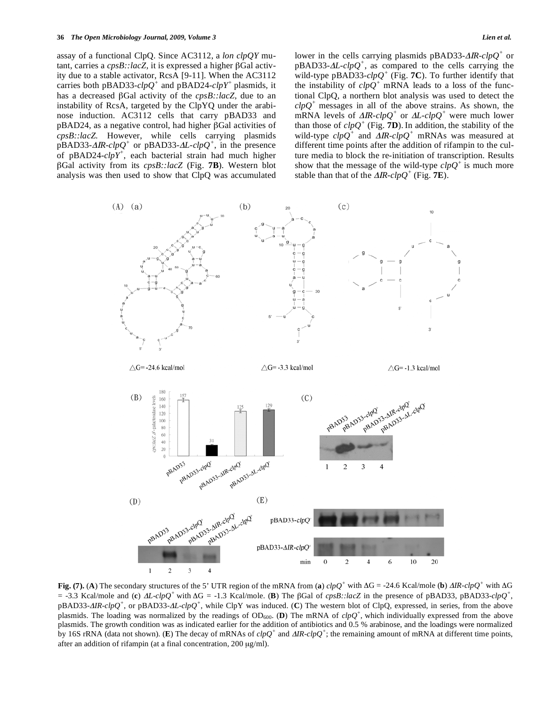assay of a functional ClpQ. Since AC3112, a *lon clpQY* mutant, carries a cpsB::lacZ, it is expressed a higher  $\beta$ Gal activity due to a stable activator, RcsA [9-11]. When the AC3112 carries both pBAD33-*clpQ<sup>+</sup>* and pBAD24-*clpY<sup>+</sup>* plasmids*,* it has a decreased  $\beta$ Gal activity of the *cpsB::lacZ*, due to an instability of RcsA, targeted by the ClpYQ under the arabinose induction. AC3112 cells that carry pBAD33 and  $pBAD24$ , as a negative control, had higher  $\beta$ Gal activities of *cpsB::lacZ.* However, while cells carrying plasmids  $p$ BAD33- $\Delta$ *IR-clpQ<sup>+</sup>* or pBAD33- $\Delta$ *L-clpQ<sup>+</sup>*, in the presence of pBAD24-*clpY<sup>+</sup>* , each bacterial strain had much higher -Gal activity from its *cpsB::lacZ* (Fig. **7B**). Western blot analysis was then used to show that ClpQ was accumulated

lower in the cells carrying plasmids  $pBAD33-AIR$ -*clpQ<sup>+</sup>* or  $pBAD33-AL-clpQ^+$ , as compared to the cells carrying the wild-type pBAD33- $clpQ^+$  (Fig. **7C**). To further identify that the instability of  $clp\hat{Q}^+$  mRNA leads to a loss of the functional ClpQ, a northern blot analysis was used to detect the *clpQ<sup>+</sup>* messages in all of the above strains. As shown, the mRNA levels of  $\Delta I \cdot R$ -*clpQ*<sup>+</sup> or  $\Delta L$ -*clpQ*<sup>+</sup> were much lower than those of  $clpQ^+$  (Fig. **7D**). In addition, the stability of the wild-type  $clpQ^+$  and  $\overline{AlR}\text{-}clpQ^+$  mRNAs was measured at different time points after the addition of rifampin to the culture media to block the re-initiation of transcription. Results show that the message of the wild-type  $\text{clp}Q^+$  is much more stable than that of the  $\triangle$ *IR-clpQ*<sup>+</sup> (Fig. **7E**).



**Fig.** (7). (A) The secondary structures of the 5' UTR region of the mRNA from (a)  $clpQ^+$  with  $\Delta G = -24.6$  Kcal/mole (b)  $\Delta IR \text{-}clpQ^+$  with  $\Delta G$  $=$  -3.3 Kcal/mole and (c)  $\Delta L$ -*clpQ*<sup>+</sup> with  $\Delta G = -1.3$  Kcal/mole. (B) The  $\beta$ Gal of *cpsB::lacZ* in the presence of pBAD33, pBAD33-*clpQ*<sup>+</sup>, pBAD33*-IR-clpQ<sup>+</sup>*, or pBAD33*-L-clpQ<sup>+</sup>*, while ClpY was induced. (**C**) The western blot of ClpQ, expressed, in series, from the above plasmids. The loading was normalized by the readings of  $OD_{600}$ . (D) The mRNA of  $clpQ^+$ , which individually expressed from the above plasmids. The growth condition was as indicated earlier for the addition of antibiotics and 0.5 % arabinose, and the loadings were normalized by 16S rRNA (data not shown). (**E**) The decay of mRNAs of *clpQ*<sup>+</sup> and  $\Delta IR$ -*clpQ*<sup>+</sup>; the remaining amount of mRNA at different time points, after an addition of rifampin (at a final concentration, 200 μg/ml).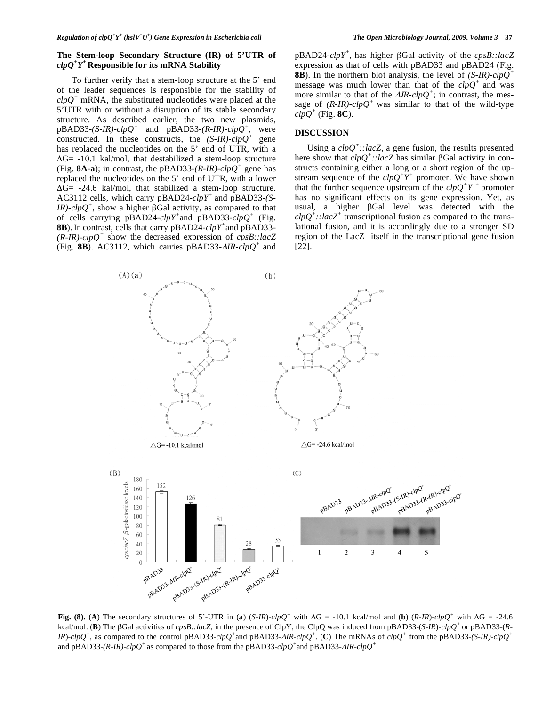## **The Stem-loop Secondary Structure (IR) of 5'UTR of**  *clpQ<sup>+</sup> Y+* **Responsible for its mRNA Stability**

 To further verify that a stem-loop structure at the 5' end of the leader sequences is responsible for the stability of  $\text{clpQ}^+$  mRNA, the substituted nucleotides were placed at the 5'UTR with or without a disruption of its stable secondary structure. As described earlier, the two new plasmids,  $pBAD33-(S-IR)-clpQ^+$  and  $pBAD33-(R-IR)-clpQ^+$ , were constructed. In these constructs, the  $(S-IR)-cI\overline{p}Q^+$  gene has replaced the nucleotides on the 5' end of UTR, with a  $\Delta G$  = -10.1 kal/mol, that destabilized a stem-loop structure (Fig. 8A-a); in contrast, the pBAD33- $(R$ -IR)- $clpQ^+$  gene has replaced the nucleotides on the 5' end of UTR, with a lower  $\Delta G$  = -24.6 kal/mol, that stabilized a stem-loop structure. AC3112 cells, which carry pBAD24-*clpY<sup>+</sup>* and pBAD33-(S- $I\mathbb{R}$ )-clpQ<sup>+</sup>, show a higher  $\beta$ Gal activity, as compared to that of cells carrying  $pBAD24$ -*clpY<sup>+</sup>* and  $pBAD33$ -*clpQ<sup>+</sup>* (Fig. **8B**).In contrast, cells that carry pBAD24-*clpY<sup>+</sup>*and pBAD33-  $(R-IR)$ -*clpQ*<sup>+</sup> show the decreased expression of *cpsB::lacZ* (Fig. 8B). AC3112, which carries pBAD33- $\Delta IR$ -*clpQ<sup>+</sup>* and

pBAD24-*clpY<sup>+</sup>* , has higher -Gal activity of the *cpsB::lacZ* expression as that of cells with pBAD33 and pBAD24 (Fig. **8B**). In the northern blot analysis, the level of *(S-IR)-clpQ<sup>+</sup>* message was much lower than that of the *clpQ<sup>+</sup>* and was more similar to that of the  $\Delta I R$ -*clpQ*<sup>+</sup>; in contrast, the message of  $(R\text{-}IR)\text{-}clpQ^+$  was similar to that of the wild-type  $clpQ^+$  (Fig. **8C**).

## **DISCUSSION**

Using a  $clpQ^+$ ::lacZ, a gene fusion, the results presented here show that  $\overline{clpQ^+}$ ::lacZ has similar  $\beta$ Gal activity in constructs containing either a long or a short region of the upstream sequence of the  $clpQ^+Y^+$  promoter. We have shown that the further sequence upstream of the  $\text{clp}Q^+Y^+$  promoter has no significant effects on its gene expression. Yet, as usual, a higher  $\beta$ Gal level was detected with the  $\frac{clpQ^{\dagger}}{clqQ^{\dagger}}$ :*lacZ*<sup>+</sup> transcriptional fusion as compared to the translational fusion, and it is accordingly due to a stronger SD region of the  $LacZ^+$  itself in the transcriptional gene fusion [22].



**Fig. (8).** (A) The secondary structures of 5'-UTR in (a) (*S-IR*)-*clpQ*<sup>+</sup> with  $\Delta G = -10.1$  kcal/mol and (b) (*R-IR*)-*clpQ*<sup>+</sup> with  $\Delta G = -24.6$ kcal/mol. (**B**) The βGal activities of *cpsB::lacZ*, in the presence of ClpY, the ClpQ was induced from pBAD33-(*S-IR*)-*clpQ*<sup>+</sup> or pBAD33-(*R*-*IR*)-*clpQ*<sup>+</sup>, as compared to the control pBAD33*-clpQ*<sup>+</sup>and pBAD33-*AIR-clpQ*<sup>+</sup>. (**C**) The mRNAs of *clpQ*<sup>+</sup> from the pBAD33-*(S-IR)-clpQ*<sup>+</sup> and pBAD33- $(R$ -IR)- $clpQ^+$  as compared to those from the pBAD33- $clpQ^+$  and pBAD33- $AlR$ - $clpQ^+$ .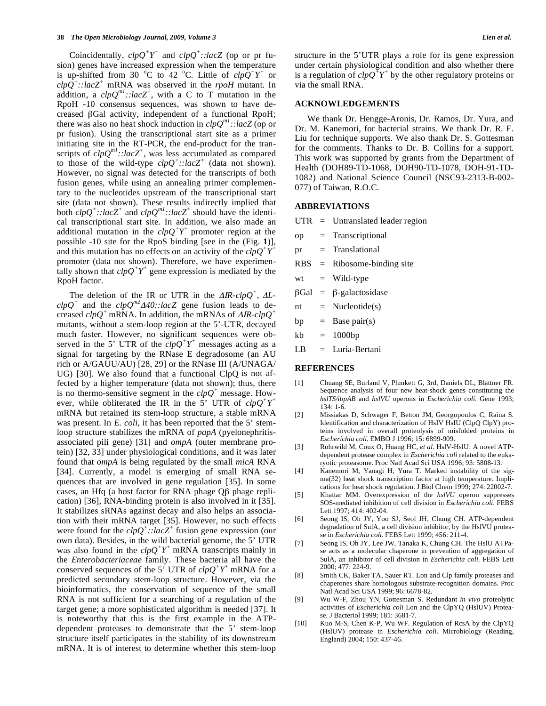Coincidentally,  $clpQ^+Y^+$  and  $clpQ^+$ : : $lacZ$  (op or pr fusion) genes have increased expression when the temperature is up-shifted from 30 °C to 42 °C. Little of  $clpQ^{+}Y^{+}$  or  $clp\overline{Q}^+$ ::lacZ<sup>+</sup> mRNA was observed in the *rpoH* mutant. In addition, a  $clpQ^{ml}$ ::lacZ<sup>+</sup>, with a C to T mutation in the RpoH -10 consensus sequences, was shown to have decreased Gal activity, independent of a functional RpoH; there was also no heat shock induction in *clpQm1::lacZ* (op or pr fusion). Using the transcriptional start site as a primer initiating site in the RT-PCR, the end-product for the transcripts of  $\text{clpQ}^{m1}$ ::lacZ<sup>+</sup>, was less accumulated as compared to those of the wild-type  $clpQ^+$ ::lacZ<sup>+</sup> (data not shown). However, no signal was detected for the transcripts of both fusion genes, while using an annealing primer complementary to the nucleotides upstream of the transcriptional start site (data not shown). These results indirectly implied that both  $clpQ^+$ ::lacZ<sup>+</sup> and  $clpQ^{ml}$ ::lacZ<sup>+</sup> should have the identical transcriptional start site. In addition, we also made an additional mutation in the  $clpQ^+Y^+$  promoter region at the possible -10 site for the RpoS binding [see in the (Fig. **1**)], and this mutation has no effects on an activity of the  $\text{clpO}^+Y^+$ promoter (data not shown). Therefore, we have experimentally shown that  $\text{clp}Q^+Y^+$  gene expression is mediated by the RpoH factor.

The deletion of the IR or UTR in the  $\Delta IR$ -*clpQ<sup>+</sup>*,  $\Delta L$ - $\mathcal{CDQ}^+$  and the  $\mathcal{CDQ}^{m2}$  A40::lacZ gene fusion leads to decreased  $clpQ^+$  mRNA. In addition, the mRNAs of  $\Delta IR$ - $clpQ^+$ mutants, without a stem-loop region at the 5'-UTR, decayed much faster. However, no significant sequences were observed in the 5' UTR of the  $clpQ^+Y^+$  messages acting as a signal for targeting by the RNase E degradosome (an AU rich or A/GAUU/AU) [28, 29] or the RNase III (A/UNAGA/ UG) [30]. We also found that a functional ClpQ is not affected by a higher temperature (data not shown); thus, there is no thermo-sensitive segment in the  $clpQ^+$  message. However, while obliterated the IR in the 5' UTR of *clpQ+Y+* mRNA but retained its stem-loop structure, a stable mRNA was present. In *E. coli*, it has been reported that the 5' stemloop structure stabilizes the mRNA of *papA* (pyelonephritisassociated pili gene) [31] and *ompA* (outer membrane protein) [32, 33] under physiological conditions, and it was later found that *ompA* is being regulated by the small *micA* RNA [34]. Currently, a model is emerging of small RNA sequences that are involved in gene regulation [35]. In some cases, an Hfq (a host factor for RNA phage  $Q\beta$  phage replication) [36], RNA-binding protein is also involved in it [35]. It stabilizes sRNAs against decay and also helps an association with their mRNA target [35]. However, no such effects were found for the  $clpQ^+$ :  $lacZ^+$  fusion gene expression (our own data). Besides, in the wild bacterial genome, the 5' UTR was also found in the  $clpQ^+Y^+$  mRNA transcripts mainly in the *Enterobacteriaceae* family. These bacteria all have the conserved sequences of the 5<sup> $\check{y}$ </sup> UTR of  $clpQ^+Y^+$  mRNA for a predicted secondary stem-loop structure. However, via the bioinformatics, the conservation of sequence of the small RNA is not sufficient for a searching of a regulation of the target gene; a more sophisticated algorithm is needed [37]. It is noteworthy that this is the first example in the ATPdependent proteases to demonstrate that the 5' stem-loop structure itself participates in the stability of its downstream mRNA. It is of interest to determine whether this stem-loop

structure in the 5'UTR plays a role for its gene expression under certain physiological condition and also whether there is a regulation of  $\epsilon l p Q^{\dagger} Y^{\dagger}$  by the other regulatory proteins or via the small RNA.

## **ACKNOWLEDGEMENTS**

We thank Dr. Hengge-Aronis, Dr. Ramos, Dr. Yura, and Dr. M. Kanemori, for bacterial strains. We thank Dr. R. F. Liu for technique supports. We also thank Dr. S. Gottesman for the comments. Thanks to Dr. B. Collins for a support. This work was supported by grants from the Department of Health (DOH89-TD-1068, DOH90-TD-1078, DOH-91-TD-1082) and National Science Council (NSC93-2313-B-002- 077) of Taiwan, R.O.C.

#### **ABBREVIATIONS**

- UTR = Untranslated leader region
- op = Transcriptional
- pr = Translational
- RBS = Ribosome-binding site
- $wt = Wild-type$
- $\beta$ Gal =  $\beta$ -galactosidase
- nt  $=$  Nucleotide(s)
- bp  $=$  Base pair(s)
- $kb = 1000bp$
- LB = Luria-Bertani

#### **REFERENCES**

- [1] Chuang SE, Burland V, Plunkett G, 3rd, Daniels DL, Blattner FR. Sequence analysis of four new heat-shock genes constituting the *hslTS/ibpAB* and *hslVU* operons in *Escherichia coli*. Gene 1993; 134: 1-6.
- [2] Missiakas D, Schwager F, Betton JM, Georgopoulos C, Raina S. Identification and characterization of HsIV HsIU (ClpQ ClpY) proteins involved in overall proteolysis of misfolded proteins in *Escherichia coli*. EMBO J 1996; 15: 6899-909.
- [3] Rohrwild M, Coux O, Huang HC, *et al*. HslV-HslU: A novel ATPdependent protease complex in *Escherichia coli* related to the eukaryotic proteasome. Proc Natl Acad Sci USA 1996; 93: 5808-13.
- [4] Kanemori M, Yanagi H, Yura T. Marked instability of the sigma(32) heat shock transcription factor at high temperature. Implications for heat shock regulation. J Biol Chem 1999; 274: 22002-7.
- [5] Khattar MM. Overexpression of the *hslVU* operon suppresses SOS-mediated inhibition of cell division in *Escherichia coli*. FEBS Lett 1997; 414: 402-04.
- [6] Seong IS, Oh JY, Yoo SJ, Seol JH, Chung CH. ATP-dependent degradation of SulA, a cell division inhibitor, by the HslVU protease in *Escherichia coli*. FEBS Lett 1999; 456: 211-4.
- [7] Seong IS, Oh JY, Lee JW, Tanaka K, Chung CH. The HslU ATPase acts as a molecular chaperone in prevention of aggregation of SulA, an inhibitor of cell division in *Escherichia coli*. FEBS Lett 2000; 477: 224-9.
- [8] Smith CK, Baker TA, Sauer RT. Lon and Clp family proteases and chaperones share homologous substrate-recognition domains. Proc Natl Acad Sci USA 1999; 96: 6678-82.
- [9] Wu W-F, Zhou YN, Gottesman S. Redundant *in vivo* proteolytic activities of *Escherichia coli* Lon and the ClpYQ (HslUV) Protease. J Bacteriol 1999; 181: 3681-7.
- [10] Kuo M-S, Chen K-P, Wu WF. Regulation of RcsA by the ClpYQ (HslUV) protease in *Escherichia coli*. Microbiology (Reading, England) 2004; 150: 437-46.